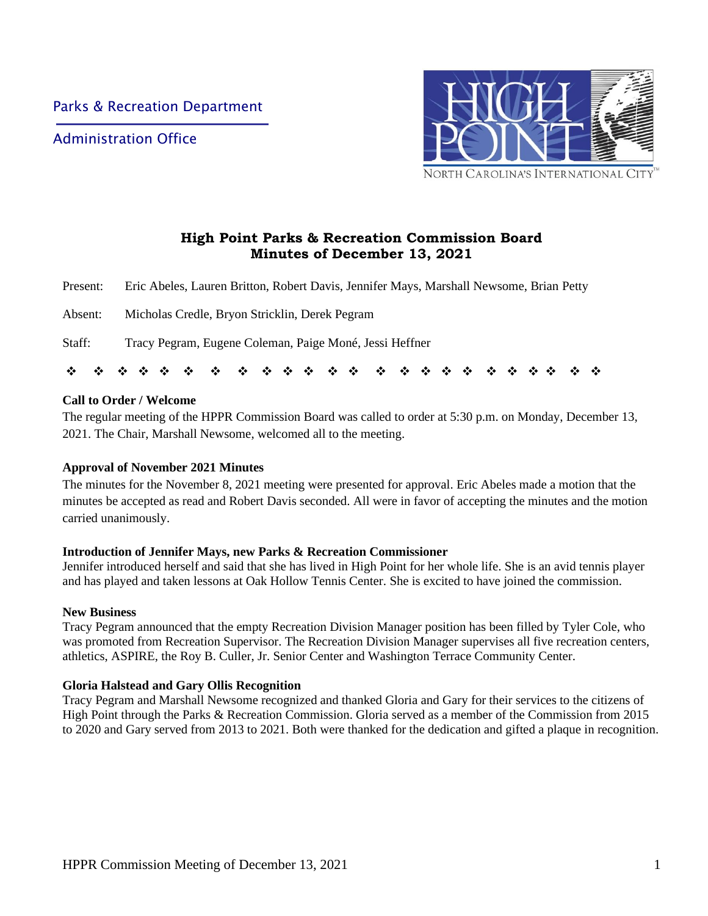Administration Office



**High Point Parks & Recreation Commission Board Minutes of December 13, 2021**

Present: Eric Abeles, Lauren Britton, Robert Davis, Jennifer Mays, Marshall Newsome, Brian Petty

Absent: Micholas Credle, Bryon Stricklin, Derek Pegram

Staff: Tracy Pegram, Eugene Coleman, Paige Moné, Jessi Heffner

| *************************** |  |  |  |  |  |  |  |  |  |  |  |  |  |  |  |  |  |  |  |  |  |  |  |  |
|-----------------------------|--|--|--|--|--|--|--|--|--|--|--|--|--|--|--|--|--|--|--|--|--|--|--|--|
|-----------------------------|--|--|--|--|--|--|--|--|--|--|--|--|--|--|--|--|--|--|--|--|--|--|--|--|

### **Call to Order / Welcome**

The regular meeting of the HPPR Commission Board was called to order at 5:30 p.m. on Monday, December 13, 2021. The Chair, Marshall Newsome, welcomed all to the meeting.

### **Approval of November 2021 Minutes**

The minutes for the November 8, 2021 meeting were presented for approval. Eric Abeles made a motion that the minutes be accepted as read and Robert Davis seconded. All were in favor of accepting the minutes and the motion carried unanimously.

#### **Introduction of Jennifer Mays, new Parks & Recreation Commissioner**

Jennifer introduced herself and said that she has lived in High Point for her whole life. She is an avid tennis player and has played and taken lessons at Oak Hollow Tennis Center. She is excited to have joined the commission.

#### **New Business**

Tracy Pegram announced that the empty Recreation Division Manager position has been filled by Tyler Cole, who was promoted from Recreation Supervisor. The Recreation Division Manager supervises all five recreation centers, athletics, ASPIRE, the Roy B. Culler, Jr. Senior Center and Washington Terrace Community Center.

### **Gloria Halstead and Gary Ollis Recognition**

Tracy Pegram and Marshall Newsome recognized and thanked Gloria and Gary for their services to the citizens of High Point through the Parks & Recreation Commission. Gloria served as a member of the Commission from 2015 to 2020 and Gary served from 2013 to 2021. Both were thanked for the dedication and gifted a plaque in recognition.